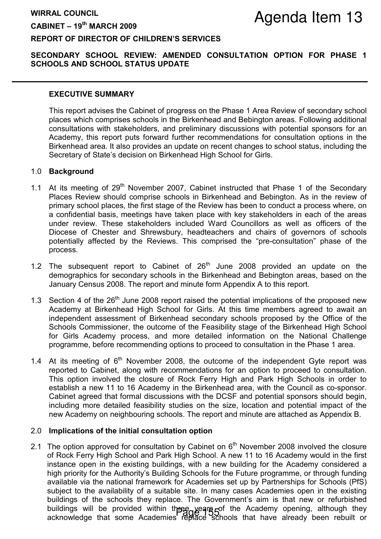# WIRRAL COUNCIL  $CABINET - 19<sup>th</sup> MARCH 2009$

# REPORT OF DIRECTOR OF CHILDREN'S SERVICES

## SECONDARY SCHOOL REVIEW: AMENDED CONSULTATION OPTION FOR PHASE 1 SCHOOLS AND SCHOOL STATUS UPDATE

#### EXECUTIVE SUMMARY

This report advises the Cabinet of progress on the Phase 1 Area Review of secondary school places which comprises schools in the Birkenhead and Bebington areas. Following additional consultations with stakeholders, and preliminary discussions with potential sponsors for an Academy, this report puts forward further recommendations for consultation options in the Birkenhead area. It also provides an update on recent changes to school status, including the Secretary of State's decision on Birkenhead High School for Girls.

#### 1.0 Background

- 1.1 At its meeting of  $29<sup>th</sup>$  November 2007, Cabinet instructed that Phase 1 of the Secondary Places Review should comprise schools in Birkenhead and Bebington. As in the review of primary school places, the first stage of the Review has been to conduct a process where, on a confidential basis, meetings have taken place with key stakeholders in each of the areas under review. These stakeholders included Ward Councillors as well as officers of the Diocese of Chester and Shrewsbury, headteachers and chairs of governors of schools potentially affected by the Reviews. This comprised the "pre-consultation" phase of the process.
- 1.2 The subsequent report to Cabinet of  $26<sup>th</sup>$  June 2008 provided an update on the demographics for secondary schools in the Birkenhead and Bebington areas, based on the January Census 2008. The report and minute form Appendix A to this report.
- 1.3 Section 4 of the  $26<sup>th</sup>$  June 2008 report raised the potential implications of the proposed new Academy at Birkenhead High School for Girls. At this time members agreed to await an independent assessment of Birkenhead secondary schools proposed by the Office of the Schools Commissioner, the outcome of the Feasibility stage of the Birkenhead High School for Girls Academy process, and more detailed information on the National Challenge programme, before recommending options to proceed to consultation in the Phase 1 area.
- 1.4 At its meeting of  $6<sup>th</sup>$  November 2008, the outcome of the independent Gyte report was reported to Cabinet, along with recommendations for an option to proceed to consultation. This option involved the closure of Rock Ferry High and Park High Schools in order to establish a new 11 to 16 Academy in the Birkenhead area, with the Council as co-sponsor. Cabinet agreed that formal discussions with the DCSF and potential sponsors should begin, including more detailed feasibility studies on the size, location and potential impact of the new Academy on neighbouring schools. The report and minute are attached as Appendix B.

### 2.0 Implications of the initial consultation option

2.1 The option approved for consultation by Cabinet on  $6<sup>th</sup>$  November 2008 involved the closure of Rock Ferry High School and Park High School. A new 11 to 16 Academy would in the first instance open in the existing buildings, with a new building for the Academy considered a high priority for the Authority's Building Schools for the Future programme, or through funding available via the national framework for Academies set up by Partnerships for Schools (PfS) subject to the availability of a suitable site. In many cases Academies open in the existing buildings of the schools they replace. The Government's aim is that new or refurbished buildings will be provided within the equal state the Academy opening, although they buildings will be provided within the academy of the Academy opening, although they<br>acknowledge that some Academies replace schools that have already been rebuilt or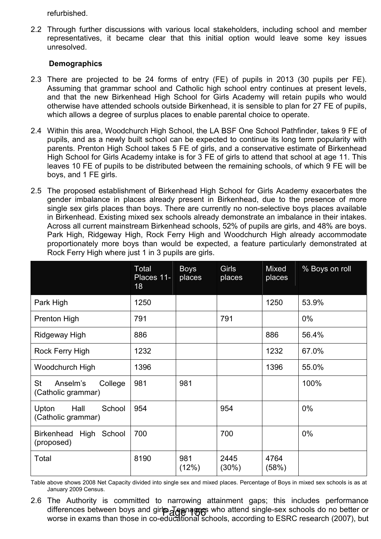refurbished.

2.2 Through further discussions with various local stakeholders, including school and member representatives, it became clear that this initial option would leave some key issues unresolved.

## **Demographics**

- 2.3 There are projected to be 24 forms of entry (FE) of pupils in 2013 (30 pupils per FE). Assuming that grammar school and Catholic high school entry continues at present levels, and that the new Birkenhead High School for Girls Academy will retain pupils who would otherwise have attended schools outside Birkenhead, it is sensible to plan for 27 FE of pupils, which allows a degree of surplus places to enable parental choice to operate.
- 2.4 Within this area, Woodchurch High School, the LA BSF One School Pathfinder, takes 9 FE of pupils, and as a newly built school can be expected to continue its long term popularity with parents. Prenton High School takes 5 FE of girls, and a conservative estimate of Birkenhead High School for Girls Academy intake is for 3 FE of girls to attend that school at age 11. This leaves 10 FE of pupils to be distributed between the remaining schools, of which 9 FE will be boys, and 1 FE girls.
- 2.5 The proposed establishment of Birkenhead High School for Girls Academy exacerbates the gender imbalance in places already present in Birkenhead, due to the presence of more single sex girls places than boys. There are currently no non-selective boys places available in Birkenhead. Existing mixed sex schools already demonstrate an imbalance in their intakes. Across all current mainstream Birkenhead schools, 52% of pupils are girls, and 48% are boys. Park High, Ridgeway High, Rock Ferry High and Woodchurch High already accommodate proportionately more boys than would be expected, a feature particularly demonstrated at Rock Ferry High where just 1 in 3 pupils are girls.

|                                                        | Total<br>Places 11-<br>18 | <b>Boys</b><br>places | Girls<br>places  | Mixed<br>places | % Boys on roll |
|--------------------------------------------------------|---------------------------|-----------------------|------------------|-----------------|----------------|
| Park High                                              | 1250                      |                       |                  | 1250            | 53.9%          |
| <b>Prenton High</b>                                    | 791                       |                       | 791              |                 | $0\%$          |
| Ridgeway High                                          | 886                       |                       |                  | 886             | 56.4%          |
| Rock Ferry High                                        | 1232                      |                       |                  | 1232            | 67.0%          |
| Woodchurch High                                        | 1396                      |                       |                  | 1396            | 55.0%          |
| <b>St</b><br>Anselm's<br>College<br>(Catholic grammar) | 981                       | 981                   |                  |                 | 100%           |
| Hall<br>School<br>Upton<br>(Catholic grammar)          | 954                       |                       | 954              |                 | 0%             |
| <b>Birkenhead</b><br>High School<br>(proposed)         | 700                       |                       | 700              |                 | $0\%$          |
| Total                                                  | 8190                      | 981<br>(12%)          | 2445<br>$(30\%)$ | 4764<br>(58%)   |                |

Table above shows 2008 Net Capacity divided into single sex and mixed places. Percentage of Boys in mixed sex schools is as at January 2009 Census.

2.6 The Authority is committed to narrowing attainment gaps; this includes performance differences between boys and girle Jeanagers who attend single-sex schools do no better or worse in exams than those in co-educational schools, according to ESRC research (2007), but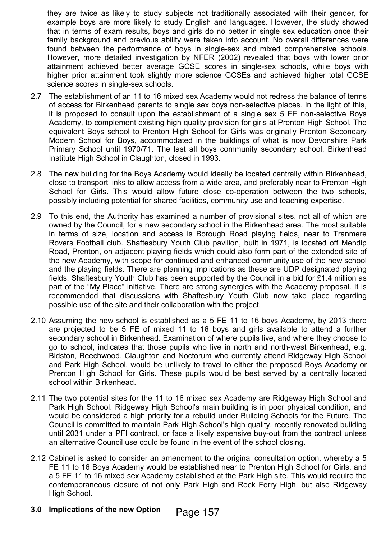they are twice as likely to study subjects not traditionally associated with their gender, for example boys are more likely to study English and languages. However, the study showed that in terms of exam results, boys and girls do no better in single sex education once their family background and previous ability were taken into account. No overall differences were found between the performance of boys in single-sex and mixed comprehensive schools. However, more detailed investigation by NFER (2002) revealed that boys with lower prior attainment achieved better average GCSE scores in single-sex schools, while boys with higher prior attainment took slightly more science GCSEs and achieved higher total GCSE science scores in single-sex schools.

- 2.7 The establishment of an 11 to 16 mixed sex Academy would not redress the balance of terms of access for Birkenhead parents to single sex boys non-selective places. In the light of this, it is proposed to consult upon the establishment of a single sex 5 FE non-selective Boys Academy, to complement existing high quality provision for girls at Prenton High School. The equivalent Boys school to Prenton High School for Girls was originally Prenton Secondary Modern School for Boys, accommodated in the buildings of what is now Devonshire Park Primary School until 1970/71. The last all boys community secondary school, Birkenhead Institute High School in Claughton, closed in 1993.
- 2.8 The new building for the Boys Academy would ideally be located centrally within Birkenhead, close to transport links to allow access from a wide area, and preferably near to Prenton High School for Girls. This would allow future close co-operation between the two schools, possibly including potential for shared facilities, community use and teaching expertise.
- 2.9 To this end, the Authority has examined a number of provisional sites, not all of which are owned by the Council, for a new secondary school in the Birkenhead area. The most suitable in terms of size, location and access is Borough Road playing fields, near to Tranmere Rovers Football club. Shaftesbury Youth Club pavilion, built in 1971, is located off Mendip Road, Prenton, on adjacent playing fields which could also form part of the extended site of the new Academy, with scope for continued and enhanced community use of the new school and the playing fields. There are planning implications as these are UDP designated playing fields. Shaftesbury Youth Club has been supported by the Council in a bid for £1.4 million as part of the "My Place" initiative. There are strong synergies with the Academy proposal. It is recommended that discussions with Shaftesbury Youth Club now take place regarding possible use of the site and their collaboration with the project.
- 2.10 Assuming the new school is established as a 5 FE 11 to 16 boys Academy, by 2013 there are projected to be 5 FE of mixed 11 to 16 boys and girls available to attend a further secondary school in Birkenhead. Examination of where pupils live, and where they choose to go to school, indicates that those pupils who live in north and north-west Birkenhead, e.g. Bidston, Beechwood, Claughton and Noctorum who currently attend Ridgeway High School and Park High School, would be unlikely to travel to either the proposed Boys Academy or Prenton High School for Girls. These pupils would be best served by a centrally located school within Birkenhead.
- 2.11 The two potential sites for the 11 to 16 mixed sex Academy are Ridgeway High School and Park High School. Ridgeway High School's main building is in poor physical condition, and would be considered a high priority for a rebuild under Building Schools for the Future. The Council is committed to maintain Park High School's high quality, recently renovated building until 2031 under a PFI contract, or face a likely expensive buy-out from the contract unless an alternative Council use could be found in the event of the school closing.
- 2.12 Cabinet is asked to consider an amendment to the original consultation option, whereby a 5 FE 11 to 16 Boys Academy would be established near to Prenton High School for Girls, and a 5 FE 11 to 16 mixed sex Academy established at the Park High site. This would require the contemporaneous closure of not only Park High and Rock Ferry High, but also Ridgeway High School.
- 3.0 Implications of the new Option Page 157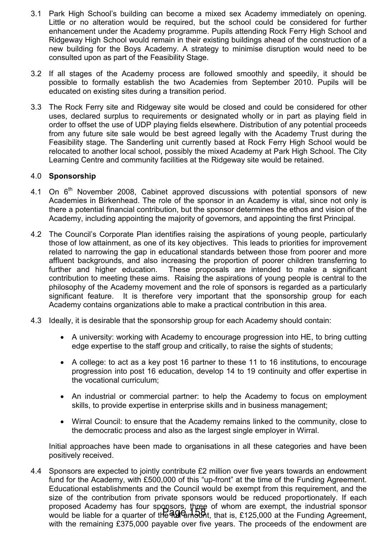- 3.1 Park High School's building can become a mixed sex Academy immediately on opening. Little or no alteration would be required, but the school could be considered for further enhancement under the Academy programme. Pupils attending Rock Ferry High School and Ridgeway High School would remain in their existing buildings ahead of the construction of a new building for the Boys Academy. A strategy to minimise disruption would need to be consulted upon as part of the Feasibility Stage.
- 3.2 If all stages of the Academy process are followed smoothly and speedily, it should be possible to formally establish the two Academies from September 2010. Pupils will be educated on existing sites during a transition period.
- 3.3 The Rock Ferry site and Ridgeway site would be closed and could be considered for other uses, declared surplus to requirements or designated wholly or in part as playing field in order to offset the use of UDP playing fields elsewhere. Distribution of any potential proceeds from any future site sale would be best agreed legally with the Academy Trust during the Feasibility stage. The Sanderling unit currently based at Rock Ferry High School would be relocated to another local school, possibly the mixed Academy at Park High School. The City Learning Centre and community facilities at the Ridgeway site would be retained.

### 4.0 Sponsorship

- 4.1 On  $6<sup>th</sup>$  November 2008, Cabinet approved discussions with potential sponsors of new Academies in Birkenhead. The role of the sponsor in an Academy is vital, since not only is there a potential financial contribution, but the sponsor determines the ethos and vision of the Academy, including appointing the majority of governors, and appointing the first Principal.
- 4.2 The Council's Corporate Plan identifies raising the aspirations of young people, particularly those of low attainment, as one of its key objectives. This leads to priorities for improvement related to narrowing the gap in educational standards between those from poorer and more affluent backgrounds, and also increasing the proportion of poorer children transferring to further and higher education. These proposals are intended to make a significant contribution to meeting these aims. Raising the aspirations of young people is central to the philosophy of the Academy movement and the role of sponsors is regarded as a particularly significant feature. It is therefore very important that the sponsorship group for each Academy contains organizations able to make a practical contribution in this area.
- 4.3 Ideally, it is desirable that the sponsorship group for each Academy should contain:
	- A university: working with Academy to encourage progression into HE, to bring cutting edge expertise to the staff group and critically, to raise the sights of students;
	- A college: to act as a key post 16 partner to these 11 to 16 institutions, to encourage progression into post 16 education, develop 14 to 19 continuity and offer expertise in the vocational curriculum;
	- An industrial or commercial partner: to help the Academy to focus on employment skills, to provide expertise in enterprise skills and in business management;
	- Wirral Council: to ensure that the Academy remains linked to the community, close to the democratic process and also as the largest single employer in Wirral.

Initial approaches have been made to organisations in all these categories and have been positively received.

4.4 Sponsors are expected to jointly contribute £2 million over five years towards an endowment fund for the Academy, with £500,000 of this "up-front" at the time of the Funding Agreement. Educational establishments and the Council would be exempt from this requirement, and the size of the contribution from private sponsors would be reduced proportionately. If each proposed Academy has four sponsors, three of whom are exempt, the industrial sponsor proposed reducing has real opposed, the contract and example, are madellar opened. with the remaining £375,000 payable over five years. The proceeds of the endowment are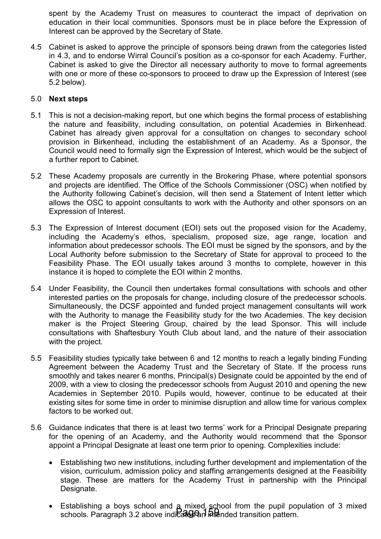spent by the Academy Trust on measures to counteract the impact of deprivation on education in their local communities. Sponsors must be in place before the Expression of Interest can be approved by the Secretary of State.

4.5 Cabinet is asked to approve the principle of sponsors being drawn from the categories listed in 4.3, and to endorse Wirral Council's position as a co-sponsor for each Academy. Further, Cabinet is asked to give the Director all necessary authority to move to formal agreements with one or more of these co-sponsors to proceed to draw up the Expression of Interest (see 5.2 below).

## 5.0 Next steps

- 5.1 This is not a decision-making report, but one which begins the formal process of establishing the nature and feasibility, including consultation, on potential Academies in Birkenhead. Cabinet has already given approval for a consultation on changes to secondary school provision in Birkenhead, including the establishment of an Academy. As a Sponsor, the Council would need to formally sign the Expression of Interest, which would be the subject of a further report to Cabinet.
- 5.2 These Academy proposals are currently in the Brokering Phase, where potential sponsors and projects are identified. The Office of the Schools Commissioner (OSC) when notified by the Authority following Cabinet's decision, will then send a Statement of Intent letter which allows the OSC to appoint consultants to work with the Authority and other sponsors on an Expression of Interest.
- 5.3 The Expression of Interest document (EOI) sets out the proposed vision for the Academy, including the Academy's ethos, specialism, proposed size, age range, location and information about predecessor schools. The EOI must be signed by the sponsors, and by the Local Authority before submission to the Secretary of State for approval to proceed to the Feasibility Phase. The EOI usually takes around 3 months to complete, however in this instance it is hoped to complete the EOI within 2 months.
- 5.4 Under Feasibility, the Council then undertakes formal consultations with schools and other interested parties on the proposals for change, including closure of the predecessor schools. Simultaneously, the DCSF appointed and funded project management consultants will work with the Authority to manage the Feasibility study for the two Academies. The key decision maker is the Project Steering Group, chaired by the lead Sponsor. This will include consultations with Shaftesbury Youth Club about land, and the nature of their association with the project.
- 5.5 Feasibility studies typically take between 6 and 12 months to reach a legally binding Funding Agreement between the Academy Trust and the Secretary of State. If the process runs smoothly and takes nearer 6 months, Principal(s) Designate could be appointed by the end of 2009, with a view to closing the predecessor schools from August 2010 and opening the new Academies in September 2010. Pupils would, however, continue to be educated at their existing sites for some time in order to minimise disruption and allow time for various complex factors to be worked out.
- 5.6 Guidance indicates that there is at least two terms' work for a Principal Designate preparing for the opening of an Academy, and the Authority would recommend that the Sponsor appoint a Principal Designate at least one term prior to opening. Complexities include:
	- Establishing two new institutions, including further development and implementation of the vision, curriculum, admission policy and staffing arrangements designed at the Feasibility stage. These are matters for the Academy Trust in partnership with the Principal Designate.
	- Establishing a boys school and a mixed school from the pupil population of 3 mixed schools. Paragraph 3.2 above indicates and intended transition pattern.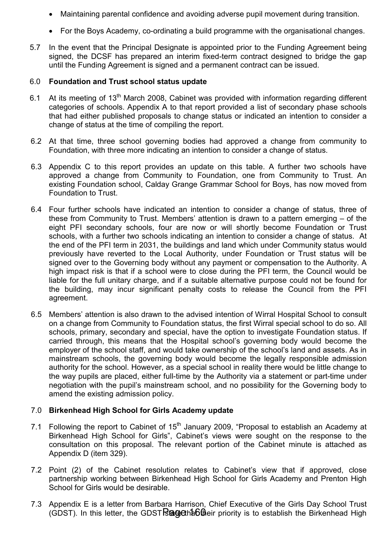- Maintaining parental confidence and avoiding adverse pupil movement during transition.
- For the Boys Academy, co-ordinating a build programme with the organisational changes.
- 5.7 In the event that the Principal Designate is appointed prior to the Funding Agreement being signed, the DCSF has prepared an interim fixed-term contract designed to bridge the gap until the Funding Agreement is signed and a permanent contract can be issued.

#### 6.0 Foundation and Trust school status update

- 6.1 At its meeting of  $13<sup>th</sup>$  March 2008, Cabinet was provided with information regarding different categories of schools. Appendix A to that report provided a list of secondary phase schools that had either published proposals to change status or indicated an intention to consider a change of status at the time of compiling the report.
- 6.2 At that time, three school governing bodies had approved a change from community to Foundation, with three more indicating an intention to consider a change of status.
- 6.3 Appendix C to this report provides an update on this table. A further two schools have approved a change from Community to Foundation, one from Community to Trust. An existing Foundation school, Calday Grange Grammar School for Boys, has now moved from Foundation to Trust.
- 6.4 Four further schools have indicated an intention to consider a change of status, three of these from Community to Trust. Members' attention is drawn to a pattern emerging – of the eight PFI secondary schools, four are now or will shortly become Foundation or Trust schools, with a further two schools indicating an intention to consider a change of status. At the end of the PFI term in 2031, the buildings and land which under Community status would previously have reverted to the Local Authority, under Foundation or Trust status will be signed over to the Governing body without any payment or compensation to the Authority. A high impact risk is that if a school were to close during the PFI term, the Council would be liable for the full unitary charge, and if a suitable alternative purpose could not be found for the building, may incur significant penalty costs to release the Council from the PFI agreement.
- 6.5 Members' attention is also drawn to the advised intention of Wirral Hospital School to consult on a change from Community to Foundation status, the first Wirral special school to do so. All schools, primary, secondary and special, have the option to investigate Foundation status. If carried through, this means that the Hospital school's governing body would become the employer of the school staff, and would take ownership of the school's land and assets. As in mainstream schools, the governing body would become the legally responsible admission authority for the school. However, as a special school in reality there would be little change to the way pupils are placed, either full-time by the Authority via a statement or part-time under negotiation with the pupil's mainstream school, and no possibility for the Governing body to amend the existing admission policy.

## 7.0 Birkenhead High School for Girls Academy update

- 7.1 Following the report to Cabinet of  $15<sup>th</sup>$  January 2009, "Proposal to establish an Academy at Birkenhead High School for Girls", Cabinet's views were sought on the response to the consultation on this proposal. The relevant portion of the Cabinet minute is attached as Appendix D (item 329).
- 7.2 Point (2) of the Cabinet resolution relates to Cabinet's view that if approved, close partnership working between Birkenhead High School for Girls Academy and Prenton High School for Girls would be desirable.
- 7.3 Appendix E is a letter from Barbara Harrison, Chief Executive of the Girls Day School Trust (GDST). In this letter, the GDST **Bage that the price that is to establish** the Birkenhead High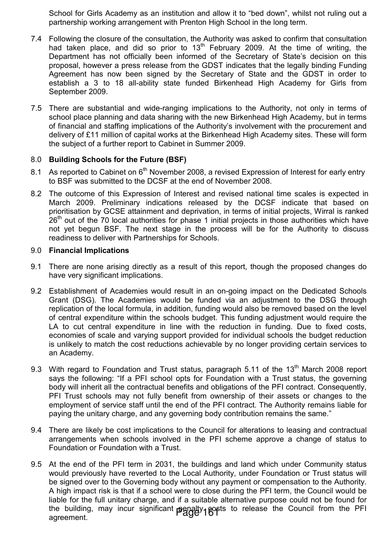School for Girls Academy as an institution and allow it to "bed down", whilst not ruling out a partnership working arrangement with Prenton High School in the long term.

- 7.4 Following the closure of the consultation, the Authority was asked to confirm that consultation had taken place, and did so prior to 13<sup>th</sup> February 2009. At the time of writing, the Department has not officially been informed of the Secretary of State's decision on this proposal, however a press release from the GDST indicates that the legally binding Funding Agreement has now been signed by the Secretary of State and the GDST in order to establish a 3 to 18 all-ability state funded Birkenhead High Academy for Girls from September 2009.
- 7.5 There are substantial and wide-ranging implications to the Authority, not only in terms of school place planning and data sharing with the new Birkenhead High Academy, but in terms of financial and staffing implications of the Authority's involvement with the procurement and delivery of £11 million of capital works at the Birkenhead High Academy sites. These will form the subject of a further report to Cabinet in Summer 2009.

## 8.0 Building Schools for the Future (BSF)

- 8.1 As reported to Cabinet on 6<sup>th</sup> November 2008, a revised Expression of Interest for early entry to BSF was submitted to the DCSF at the end of November 2008.
- 8.2 The outcome of this Expression of Interest and revised national time scales is expected in March 2009. Preliminary indications released by the DCSF indicate that based on prioritisation by GCSE attainment and deprivation, in terms of initial projects, Wirral is ranked  $26<sup>th</sup>$  out of the 70 local authorities for phase 1 initial projects in those authorities which have not yet begun BSF. The next stage in the process will be for the Authority to discuss readiness to deliver with Partnerships for Schools.

### 9.0 Financial Implications

- 9.1 There are none arising directly as a result of this report, though the proposed changes do have very significant implications.
- 9.2 Establishment of Academies would result in an on-going impact on the Dedicated Schools Grant (DSG). The Academies would be funded via an adjustment to the DSG through replication of the local formula, in addition, funding would also be removed based on the level of central expenditure within the schools budget. This funding adjustment would require the LA to cut central expenditure in line with the reduction in funding. Due to fixed costs, economies of scale and varying support provided for individual schools the budget reduction is unlikely to match the cost reductions achievable by no longer providing certain services to an Academy.
- 9.3 With regard to Foundation and Trust status, paragraph 5.11 of the  $13<sup>th</sup>$  March 2008 report says the following: "If a PFI school opts for Foundation with a Trust status, the governing body will inherit all the contractual benefits and obligations of the PFI contract. Consequently, PFI Trust schools may not fully benefit from ownership of their assets or changes to the employment of service staff until the end of the PFI contract. The Authority remains liable for paying the unitary charge, and any governing body contribution remains the same."
- 9.4 There are likely be cost implications to the Council for alterations to leasing and contractual arrangements when schools involved in the PFI scheme approve a change of status to Foundation or Foundation with a Trust.
- 9.5 At the end of the PFI term in 2031, the buildings and land which under Community status would previously have reverted to the Local Authority, under Foundation or Trust status will be signed over to the Governing body without any payment or compensation to the Authority. A high impact risk is that if a school were to close during the PFI term, the Council would be liable for the full unitary charge, and if a suitable alternative purpose could not be found for the building, may incur significant **p**enalty costs to release the Council from the PFI<br>agreement.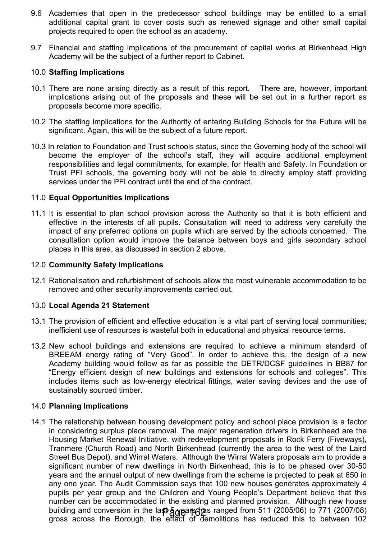- 9.6 Academies that open in the predecessor school buildings may be entitled to a small additional capital grant to cover costs such as renewed signage and other small capital projects required to open the school as an academy.
- 9.7 Financial and staffing implications of the procurement of capital works at Birkenhead High Academy will be the subject of a further report to Cabinet.

## 10.0 Staffing Implications

- 10.1 There are none arising directly as a result of this report. There are, however, important implications arising out of the proposals and these will be set out in a further report as proposals become more specific.
- 10.2 The staffing implications for the Authority of entering Building Schools for the Future will be significant. Again, this will be the subject of a future report.
- 10.3 In relation to Foundation and Trust schools status, since the Governing body of the school will become the employer of the school's staff, they will acquire additional employment responsibilities and legal commitments, for example, for Health and Safety. In Foundation or Trust PFI schools, the governing body will not be able to directly employ staff providing services under the PFI contract until the end of the contract.

## 11.0 Equal Opportunities Implications

11.1 It is essential to plan school provision across the Authority so that it is both efficient and effective in the interests of all pupils. Consultation will need to address very carefully the impact of any preferred options on pupils which are served by the schools concerned. The consultation option would improve the balance between boys and girls secondary school places in this area, as discussed in section 2 above.

#### 12.0 Community Safety Implications

12.1 Rationalisation and refurbishment of schools allow the most vulnerable accommodation to be removed and other security improvements carried out.

### 13.0 Local Agenda 21 Statement

- 13.1 The provision of efficient and effective education is a vital part of serving local communities; inefficient use of resources is wasteful both in educational and physical resource terms.
- 13.2 New school buildings and extensions are required to achieve a minimum standard of BREEAM energy rating of "Very Good". In order to achieve this, the design of a new Academy building would follow as far as possible the DETR/DCSF guidelines in BB87 for "Energy efficient design of new buildings and extensions for schools and colleges". This includes items such as low-energy electrical fittings, water saving devices and the use of sustainably sourced timber.

### 14.0 Planning Implications

14.1 The relationship between housing development policy and school place provision is a factor in considering surplus place removal. The major regeneration drivers in Birkenhead are the Housing Market Renewal Initiative, with redevelopment proposals in Rock Ferry (Fiveways), Tranmere (Church Road) and North Birkenhead (currently the area to the west of the Laird Street Bus Depot), and Wirral Waters. Although the Wirral Waters proposals aim to provide a significant number of new dwellings in North Birkenhead, this is to be phased over 30-50 years and the annual output of new dwellings from the scheme is projected to peak at 650 in any one year. The Audit Commission says that 100 new houses generates approximately 4 pupils per year group and the Children and Young People's Department believe that this number can be accommodated in the existing and planned provision. Although new house building and conversion in the last 5 years of an anged from 511 (2005/06) to 771 (2007/08) gross across the Borough, the effect of demolitions has reduced this to between 102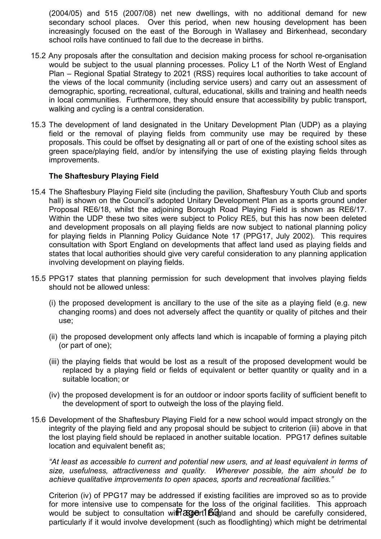(2004/05) and 515 (2007/08) net new dwellings, with no additional demand for new secondary school places. Over this period, when new housing development has been increasingly focused on the east of the Borough in Wallasey and Birkenhead, secondary school rolls have continued to fall due to the decrease in births.

- 15.2 Any proposals after the consultation and decision making process for school re-organisation would be subject to the usual planning processes. Policy L1 of the North West of England Plan – Regional Spatial Strategy to 2021 (RSS) requires local authorities to take account of the views of the local community (including service users) and carry out an assessment of demographic, sporting, recreational, cultural, educational, skills and training and health needs in local communities. Furthermore, they should ensure that accessibility by public transport, walking and cycling is a central consideration.
- 15.3 The development of land designated in the Unitary Development Plan (UDP) as a playing field or the removal of playing fields from community use may be required by these proposals. This could be offset by designating all or part of one of the existing school sites as green space/playing field, and/or by intensifying the use of existing playing fields through improvements.

### The Shaftesbury Playing Field

- 15.4 The Shaftesbury Playing Field site (including the pavilion, Shaftesbury Youth Club and sports hall) is shown on the Council's adopted Unitary Development Plan as a sports ground under Proposal RE6/18, whilst the adjoining Borough Road Playing Field is shown as RE6/17. Within the UDP these two sites were subject to Policy RE5, but this has now been deleted and development proposals on all playing fields are now subject to national planning policy for playing fields in Planning Policy Guidance Note 17 (PPG17, July 2002). This requires consultation with Sport England on developments that affect land used as playing fields and states that local authorities should give very careful consideration to any planning application involving development on playing fields.
- 15.5 PPG17 states that planning permission for such development that involves playing fields should not be allowed unless:
	- (i) the proposed development is ancillary to the use of the site as a playing field (e.g. new changing rooms) and does not adversely affect the quantity or quality of pitches and their use;
	- (ii) the proposed development only affects land which is incapable of forming a playing pitch (or part of one);
	- (iii) the playing fields that would be lost as a result of the proposed development would be replaced by a playing field or fields of equivalent or better quantity or quality and in a suitable location; or
	- (iv) the proposed development is for an outdoor or indoor sports facility of sufficient benefit to the development of sport to outweigh the loss of the playing field.
- 15.6 Development of the Shaftesbury Playing Field for a new school would impact strongly on the integrity of the playing field and any proposal should be subject to criterion (iii) above in that the lost playing field should be replaced in another suitable location. PPG17 defines suitable location and equivalent benefit as;

"At least as accessible to current and potential new users, and at least equivalent in terms of size, usefulness, attractiveness and quality. Wherever possible, the aim should be to achieve qualitative improvements to open spaces, sports and recreational facilities."

Criterion (iv) of PPG17 may be addressed if existing facilities are improved so as to provide for more intensive use to compensate for the loss of the original facilities. This approach would be subject to consultation wit Ragoert England and should be carefully considered, particularly if it would involve development (such as floodlighting) which might be detrimental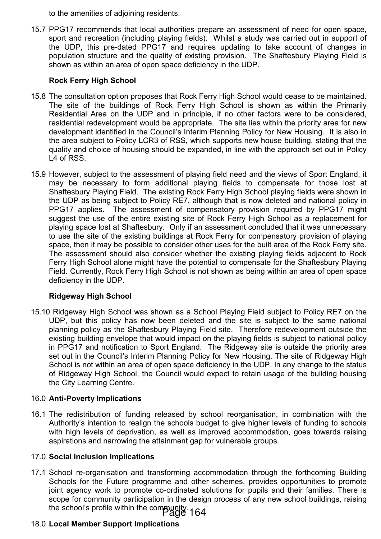to the amenities of adjoining residents.

15.7 PPG17 recommends that local authorities prepare an assessment of need for open space, sport and recreation (including playing fields). Whilst a study was carried out in support of the UDP, this pre-dated PPG17 and requires updating to take account of changes in population structure and the quality of existing provision. The Shaftesbury Playing Field is shown as within an area of open space deficiency in the UDP.

# Rock Ferry High School

- 15.8 The consultation option proposes that Rock Ferry High School would cease to be maintained. The site of the buildings of Rock Ferry High School is shown as within the Primarily Residential Area on the UDP and in principle, if no other factors were to be considered, residential redevelopment would be appropriate. The site lies within the priority area for new development identified in the Council's Interim Planning Policy for New Housing. It is also in the area subject to Policy LCR3 of RSS, which supports new house building, stating that the quality and choice of housing should be expanded, in line with the approach set out in Policy L4 of RSS.
- 15.9 However, subject to the assessment of playing field need and the views of Sport England, it may be necessary to form additional playing fields to compensate for those lost at Shaftesbury Playing Field. The existing Rock Ferry High School playing fields were shown in the UDP as being subject to Policy RE7, although that is now deleted and national policy in PPG17 applies. The assessment of compensatory provision required by PPG17 might suggest the use of the entire existing site of Rock Ferry High School as a replacement for playing space lost at Shaftesbury. Only if an assessment concluded that it was unnecessary to use the site of the existing buildings at Rock Ferry for compensatory provision of playing space, then it may be possible to consider other uses for the built area of the Rock Ferry site. The assessment should also consider whether the existing playing fields adjacent to Rock Ferry High School alone might have the potential to compensate for the Shaftesbury Playing Field. Currently, Rock Ferry High School is not shown as being within an area of open space deficiency in the UDP.

# Ridgeway High School

15.10 Ridgeway High School was shown as a School Playing Field subject to Policy RE7 on the UDP, but this policy has now been deleted and the site is subject to the same national planning policy as the Shaftesbury Playing Field site. Therefore redevelopment outside the existing building envelope that would impact on the playing fields is subject to national policy in PPG17 and notification to Sport England. The Ridgeway site is outside the priority area set out in the Council's Interim Planning Policy for New Housing. The site of Ridgeway High School is not within an area of open space deficiency in the UDP. In any change to the status of Ridgeway High School, the Council would expect to retain usage of the building housing the City Learning Centre.

## 16.0 Anti-Poverty Implications

16.1 The redistribution of funding released by school reorganisation, in combination with the Authority's intention to realign the schools budget to give higher levels of funding to schools with high levels of deprivation, as well as improved accommodation, goes towards raising aspirations and narrowing the attainment gap for vulnerable groups.

## 17.0 Social Inclusion Implications

17.1 School re-organisation and transforming accommodation through the forthcoming Building Schools for the Future programme and other schemes, provides opportunities to promote joint agency work to promote co-ordinated solutions for pupils and their families. There is scope for community participation in the design process of any new school buildings, raising the school's profile within the community<br>164<sup>- Page</sup>

# 18.0 Local Member Support Implications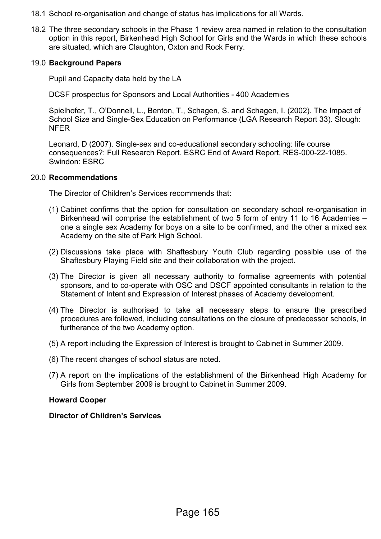- 18.1 School re-organisation and change of status has implications for all Wards.
- 18.2 The three secondary schools in the Phase 1 review area named in relation to the consultation option in this report, Birkenhead High School for Girls and the Wards in which these schools are situated, which are Claughton, Oxton and Rock Ferry.

#### 19.0 Background Papers

Pupil and Capacity data held by the LA

DCSF prospectus for Sponsors and Local Authorities - 400 Academies

 Spielhofer, T., O'Donnell, L., Benton, T., Schagen, S. and Schagen, I. (2002). The Impact of School Size and Single-Sex Education on Performance (LGA Research Report 33). Slough: NFER

 Leonard, D (2007). Single-sex and co-educational secondary schooling: life course consequences?: Full Research Report. ESRC End of Award Report, RES-000-22-1085. Swindon: ESRC

#### 20.0 Recommendations

The Director of Children's Services recommends that:

- (1) Cabinet confirms that the option for consultation on secondary school re-organisation in Birkenhead will comprise the establishment of two 5 form of entry 11 to 16 Academies – one a single sex Academy for boys on a site to be confirmed, and the other a mixed sex Academy on the site of Park High School.
- (2) Discussions take place with Shaftesbury Youth Club regarding possible use of the Shaftesbury Playing Field site and their collaboration with the project.
- (3) The Director is given all necessary authority to formalise agreements with potential sponsors, and to co-operate with OSC and DSCF appointed consultants in relation to the Statement of Intent and Expression of Interest phases of Academy development.
- (4) The Director is authorised to take all necessary steps to ensure the prescribed procedures are followed, including consultations on the closure of predecessor schools, in furtherance of the two Academy option.
- (5) A report including the Expression of Interest is brought to Cabinet in Summer 2009.
- (6) The recent changes of school status are noted.
- (7) A report on the implications of the establishment of the Birkenhead High Academy for Girls from September 2009 is brought to Cabinet in Summer 2009.

### Howard Cooper

Director of Children's Services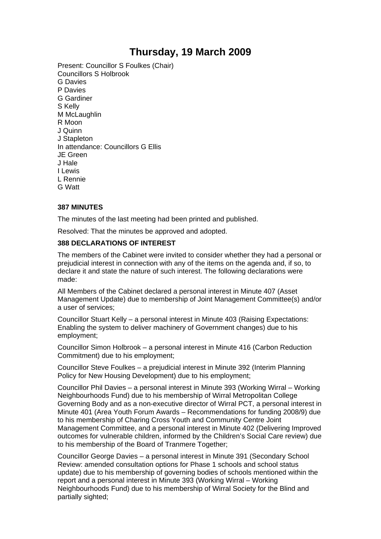# **Thursday, 19 March 2009**

Present: Councillor S Foulkes (Chair) Councillors S Holbrook G Davies P Davies G Gardiner S Kelly M McLaughlin R Moon J Quinn J Stapleton In attendance: Councillors G Ellis JE Green J Hale I Lewis L Rennie G Watt

#### **387 MINUTES**

The minutes of the last meeting had been printed and published.

Resolved: That the minutes be approved and adopted.

#### **388 DECLARATIONS OF INTEREST**

The members of the Cabinet were invited to consider whether they had a personal or prejudicial interest in connection with any of the items on the agenda and, if so, to declare it and state the nature of such interest. The following declarations were made:

All Members of the Cabinet declared a personal interest in Minute 407 (Asset Management Update) due to membership of Joint Management Committee(s) and/or a user of services;

Councillor Stuart Kelly – a personal interest in Minute 403 (Raising Expectations: Enabling the system to deliver machinery of Government changes) due to his employment;

Councillor Simon Holbrook – a personal interest in Minute 416 (Carbon Reduction Commitment) due to his employment;

Councillor Steve Foulkes – a prejudicial interest in Minute 392 (Interim Planning Policy for New Housing Development) due to his employment;

Councillor Phil Davies – a personal interest in Minute 393 (Working Wirral – Working Neighbourhoods Fund) due to his membership of Wirral Metropolitan College Governing Body and as a non-executive director of Wirral PCT, a personal interest in Minute 401 (Area Youth Forum Awards – Recommendations for funding 2008/9) due to his membership of Charing Cross Youth and Community Centre Joint Management Committee, and a personal interest in Minute 402 (Delivering Improved outcomes for vulnerable children, informed by the Children's Social Care review) due to his membership of the Board of Tranmere Together;

Councillor George Davies – a personal interest in Minute 391 (Secondary School Review: amended consultation options for Phase 1 schools and school status update) due to his membership of governing bodies of schools mentioned within the report and a personal interest in Minute 393 (Working Wirral – Working Neighbourhoods Fund) due to his membership of Wirral Society for the Blind and partially sighted;